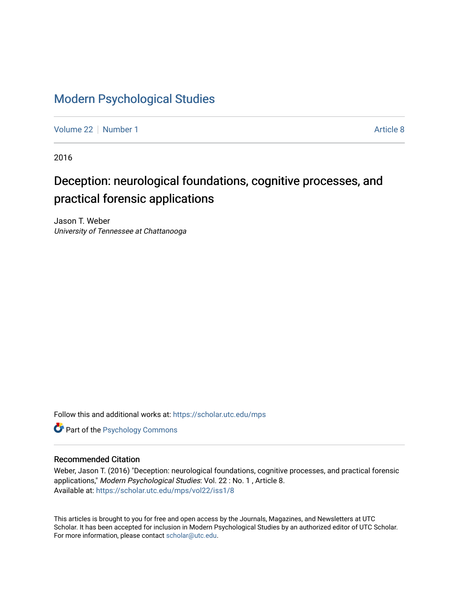## [Modern Psychological Studies](https://scholar.utc.edu/mps)

[Volume 22](https://scholar.utc.edu/mps/vol22) [Number 1](https://scholar.utc.edu/mps/vol22/iss1) Article 8

2016

# Deception: neurological foundations, cognitive processes, and practical forensic applications

Jason T. Weber University of Tennessee at Chattanooga

Follow this and additional works at: [https://scholar.utc.edu/mps](https://scholar.utc.edu/mps?utm_source=scholar.utc.edu%2Fmps%2Fvol22%2Fiss1%2F8&utm_medium=PDF&utm_campaign=PDFCoverPages) 

**Part of the Psychology Commons** 

#### Recommended Citation

Weber, Jason T. (2016) "Deception: neurological foundations, cognitive processes, and practical forensic applications," Modern Psychological Studies: Vol. 22 : No. 1 , Article 8. Available at: [https://scholar.utc.edu/mps/vol22/iss1/8](https://scholar.utc.edu/mps/vol22/iss1/8?utm_source=scholar.utc.edu%2Fmps%2Fvol22%2Fiss1%2F8&utm_medium=PDF&utm_campaign=PDFCoverPages) 

This articles is brought to you for free and open access by the Journals, Magazines, and Newsletters at UTC Scholar. It has been accepted for inclusion in Modern Psychological Studies by an authorized editor of UTC Scholar. For more information, please contact [scholar@utc.edu](mailto:scholar@utc.edu).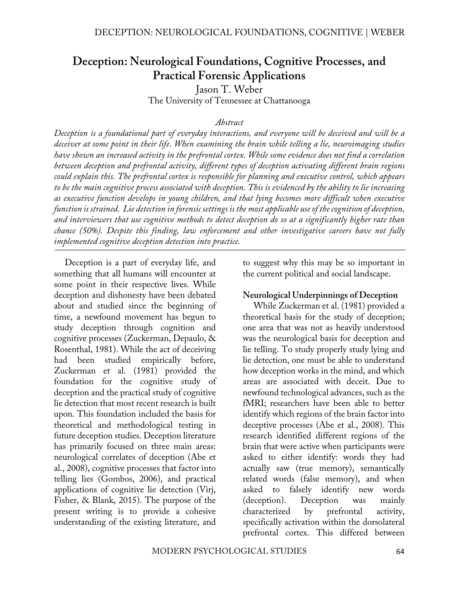# **Deception: Neurological Foundations, Cognitive Processes, and Practical Forensic Applications**

Jason T. Weber The University of Tennessee at Chattanooga

#### *Abstract*

*Deception is a foundational part of everyday interactions, and everyone will be deceived and will be a deceiver at some point in their life. When examining the brain while telling a lie, neuroimaging studies have shown an increased activity in the prefrontal cortex. While some evidence does not find a correlation between deception and prefrontal activity, different types of deception activating different brain regions could explain this. The prefrontal cortex is responsible for planning and executive control, which appears to be the main cognitive process associated with deception. This is evidenced by the ability to lie increasing as executive function develops in young children, and that lying becomes more difficult when executive function is strained. Lie detection in forensic settings is the most applicable use of the cognition of deception, and interviewers that use cognitive methods to detect deception do so at a significantly higher rate than chance (50%). Despite this finding, law enforcement and other investigative careers have not fully implemented cognitive deception detection into practice.*

Deception is a part of everyday life, and something that all humans will encounter at some point in their respective lives. While deception and dishonesty have been debated about and studied since the beginning of time, a newfound movement has begun to study deception through cognition and cognitive processes (Zuckerman, Depaulo, & Rosenthal, 1981). While the act of deceiving had been studied empirically before, Zuckerman et al. (1981) provided the foundation for the cognitive study of deception and the practical study of cognitive lie detection that most recent research is built upon. This foundation included the basis for theoretical and methodological testing in future deception studies. Deception literature has primarily focused on three main areas: neurological correlates of deception (Abe et al., 2008), cognitive processes that factor into telling lies (Gombos, 2006), and practical applications of cognitive lie detection (Virj, Fisher, & Blank, 2015). The purpose of the present writing is to provide a cohesive understanding of the existing literature, and

to suggest why this may be so important in the current political and social landscape.

#### **Neurological Underpinnings of Deception**

While Zuckerman et al. (1981) provided a theoretical basis for the study of deception; one area that was not as heavily understood was the neurological basis for deception and lie telling. To study properly study lying and lie detection, one must be able to understand how deception works in the mind, and which areas are associated with deceit. Due to newfound technological advances, such as the fMRI; researchers have been able to better identify which regions of the brain factor into deceptive processes (Abe et al., 2008). This research identified different regions of the brain that were active when participants were asked to either identify: words they had actually saw (true memory), semantically related words (false memory), and when asked to falsely identify new words (deception). Deception was mainly characterized by prefrontal activity, specifically activation within the dorsolateral prefrontal cortex. This differed between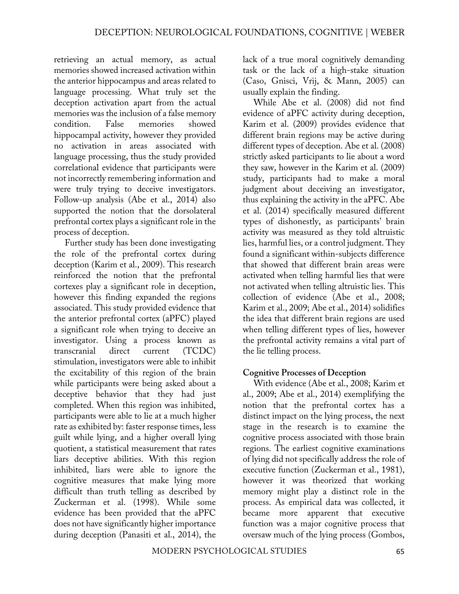retrieving an actual memory, as actual memories showed increased activation within the anterior hippocampus and areas related to language processing. What truly set the deception activation apart from the actual memories was the inclusion of a false memory condition. False memories showed hippocampal activity, however they provided no activation in areas associated with language processing, thus the study provided correlational evidence that participants were not incorrectly remembering information and were truly trying to deceive investigators. Follow-up analysis (Abe et al., 2014) also supported the notion that the dorsolateral prefrontal cortex plays a significant role in the process of deception.

Further study has been done investigating the role of the prefrontal cortex during deception (Karim et al., 2009). This research reinforced the notion that the prefrontal cortexes play a significant role in deception, however this finding expanded the regions associated. This study provided evidence that the anterior prefrontal cortex (aPFC) played a significant role when trying to deceive an investigator. Using a process known as transcranial direct current (TCDC) stimulation, investigators were able to inhibit the excitability of this region of the brain while participants were being asked about a deceptive behavior that they had just completed. When this region was inhibited, participants were able to lie at a much higher rate as exhibited by: faster response times, less guilt while lying, and a higher overall lying quotient, a statistical measurement that rates liars deceptive abilities. With this region inhibited, liars were able to ignore the cognitive measures that make lying more difficult than truth telling as described by Zuckerman et al. (1998). While some evidence has been provided that the aPFC does not have significantly higher importance during deception (Panasiti et al., 2014), the

lack of a true moral cognitively demanding task or the lack of a high-stake situation (Caso, Gnisci, Vrij, & Mann, 2005) can usually explain the finding.

While Abe et al. (2008) did not find evidence of aPFC activity during deception, Karim et al. (2009) provides evidence that different brain regions may be active during different types of deception. Abe et al. (2008) strictly asked participants to lie about a word they saw, however in the Karim et al. (2009) study, participants had to make a moral judgment about deceiving an investigator, thus explaining the activity in the aPFC. Abe et al. (2014) specifically measured different types of dishonestly, as participants' brain activity was measured as they told altruistic lies, harmful lies, or a control judgment. They found a significant within-subjects difference that showed that different brain areas were activated when telling harmful lies that were not activated when telling altruistic lies. This collection of evidence (Abe et al., 2008; Karim et al., 2009; Abe et al., 2014) solidifies the idea that different brain regions are used when telling different types of lies, however the prefrontal activity remains a vital part of the lie telling process.

#### **Cognitive Processes of Deception**

With evidence (Abe et al., 2008; Karim et al., 2009; Abe et al., 2014) exemplifying the notion that the prefrontal cortex has a distinct impact on the lying process, the next stage in the research is to examine the cognitive process associated with those brain regions. The earliest cognitive examinations of lying did not specifically address the role of executive function (Zuckerman et al., 1981), however it was theorized that working memory might play a distinct role in the process. As empirical data was collected, it became more apparent that executive function was a major cognitive process that oversaw much of the lying process (Gombos,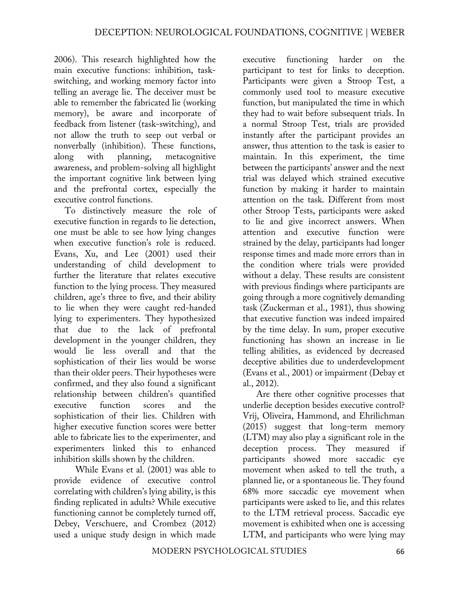2006). This research highlighted how the main executive functions: inhibition, taskswitching, and working memory factor into telling an average lie. The deceiver must be able to remember the fabricated lie (working memory), be aware and incorporate of feedback from listener (task-switching), and not allow the truth to seep out verbal or nonverbally (inhibition). These functions, along with planning, metacognitive awareness, and problem-solving all highlight the important cognitive link between lying and the prefrontal cortex, especially the executive control functions.

To distinctively measure the role of executive function in regards to lie detection, one must be able to see how lying changes when executive function's role is reduced. Evans, Xu, and Lee (2001) used their understanding of child development to further the literature that relates executive function to the lying process. They measured children, age's three to five, and their ability to lie when they were caught red-handed lying to experimenters. They hypothesized that due to the lack of prefrontal development in the younger children, they would lie less overall and that the sophistication of their lies would be worse than their older peers. Their hypotheses were confirmed, and they also found a significant relationship between children's quantified executive function scores and the sophistication of their lies. Children with higher executive function scores were better able to fabricate lies to the experimenter, and experimenters linked this to enhanced inhibition skills shown by the children.

While Evans et al. (2001) was able to provide evidence of executive control correlating with children's lying ability, is this finding replicated in adults? While executive functioning cannot be completely turned off, Debey, Verschuere, and Crombez (2012) used a unique study design in which made

executive functioning harder on the participant to test for links to deception. Participants were given a Stroop Test, a commonly used tool to measure executive function, but manipulated the time in which they had to wait before subsequent trials. In a normal Stroop Test, trials are provided instantly after the participant provides an answer, thus attention to the task is easier to maintain. In this experiment, the time between the participants' answer and the next trial was delayed which strained executive function by making it harder to maintain attention on the task. Different from most other Stroop Tests, participants were asked to lie and give incorrect answers. When attention and executive function were strained by the delay, participants had longer response times and made more errors than in the condition where trials were provided without a delay. These results are consistent with previous findings where participants are going through a more cognitively demanding task (Zuckerman et al., 1981), thus showing that executive function was indeed impaired by the time delay. In sum, proper executive functioning has shown an increase in lie telling abilities, as evidenced by decreased deceptive abilities due to underdevelopment (Evans et al., 2001) or impairment (Debay et al., 2012).

Are there other cognitive processes that underlie deception besides executive control? Vrij, Oliveira, Hammond, and Ehrilichman (2015) suggest that long-term memory (LTM) may also play a significant role in the deception process. They measured if participants showed more saccadic eye movement when asked to tell the truth, a planned lie, or a spontaneous lie. They found 68% more saccadic eye movement when participants were asked to lie, and this relates to the LTM retrieval process. Saccadic eye movement is exhibited when one is accessing LTM, and participants who were lying may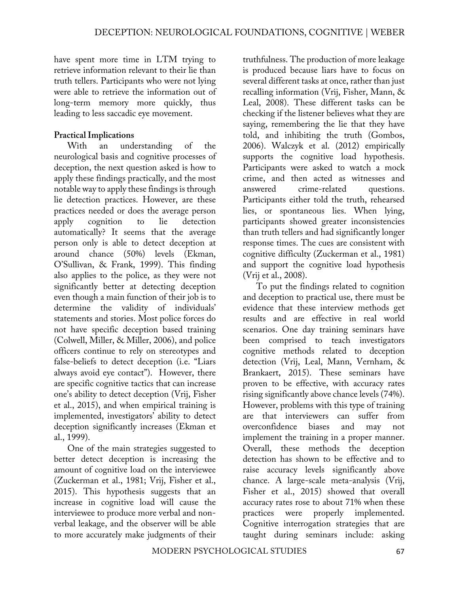have spent more time in LTM trying to retrieve information relevant to their lie than truth tellers. Participants who were not lying were able to retrieve the information out of long-term memory more quickly, thus leading to less saccadic eye movement.

#### **Practical Implications**

With an understanding of the neurological basis and cognitive processes of deception, the next question asked is how to apply these findings practically, and the most notable way to apply these findings is through lie detection practices. However, are these practices needed or does the average person apply cognition to lie detection automatically? It seems that the average person only is able to detect deception at around chance (50%) levels (Ekman, O'Sullivan, & Frank, 1999). This finding also applies to the police, as they were not significantly better at detecting deception even though a main function of their job is to determine the validity of individuals' statements and stories. Most police forces do not have specific deception based training (Colwell, Miller, & Miller, 2006), and police officers continue to rely on stereotypes and false-beliefs to detect deception (i.e. "Liars always avoid eye contact"). However, there are specific cognitive tactics that can increase one's ability to detect deception (Vrij, Fisher et al., 2015), and when empirical training is implemented, investigators' ability to detect deception significantly increases (Ekman et al., 1999).

One of the main strategies suggested to better detect deception is increasing the amount of cognitive load on the interviewee (Zuckerman et al., 1981; Vrij, Fisher et al., 2015). This hypothesis suggests that an increase in cognitive load will cause the interviewee to produce more verbal and nonverbal leakage, and the observer will be able to more accurately make judgments of their

truthfulness. The production of more leakage is produced because liars have to focus on several different tasks at once, rather than just recalling information (Vrij, Fisher, Mann, & Leal, 2008). These different tasks can be checking if the listener believes what they are saying, remembering the lie that they have told, and inhibiting the truth (Gombos, 2006). Walczyk et al. (2012) empirically supports the cognitive load hypothesis. Participants were asked to watch a mock crime, and then acted as witnesses and answered crime-related questions. Participants either told the truth, rehearsed lies, or spontaneous lies. When lying, participants showed greater inconsistencies than truth tellers and had significantly longer response times. The cues are consistent with cognitive difficulty (Zuckerman et al., 1981) and support the cognitive load hypothesis (Vrij et al., 2008).

To put the findings related to cognition and deception to practical use, there must be evidence that these interview methods get results and are effective in real world scenarios. One day training seminars have been comprised to teach investigators cognitive methods related to deception detection (Vrij, Leal, Mann, Vernham, & Brankaert, 2015). These seminars have proven to be effective, with accuracy rates rising significantly above chance levels (74%). However, problems with this type of training are that interviewers can suffer from overconfidence biases and may not implement the training in a proper manner. Overall, these methods the deception detection has shown to be effective and to raise accuracy levels significantly above chance. A large-scale meta-analysis (Vrij, Fisher et al., 2015) showed that overall accuracy rates rose to about 71% when these practices were properly implemented. Cognitive interrogation strategies that are taught during seminars include: asking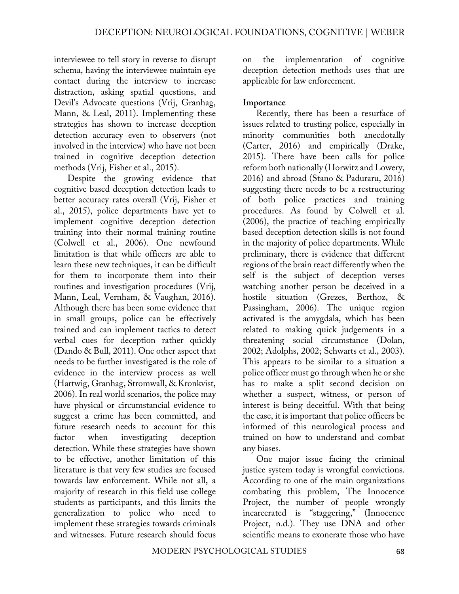interviewee to tell story in reverse to disrupt schema, having the interviewee maintain eye contact during the interview to increase distraction, asking spatial questions, and Devil's Advocate questions (Vrij, Granhag, Mann, & Leal, 2011). Implementing these strategies has shown to increase deception detection accuracy even to observers (not involved in the interview) who have not been trained in cognitive deception detection methods (Vrij, Fisher et al., 2015).

Despite the growing evidence that cognitive based deception detection leads to better accuracy rates overall (Vrij, Fisher et al., 2015), police departments have yet to implement cognitive deception detection training into their normal training routine (Colwell et al., 2006). One newfound limitation is that while officers are able to learn these new techniques, it can be difficult for them to incorporate them into their routines and investigation procedures (Vrij, Mann, Leal, Vernham, & Vaughan, 2016). Although there has been some evidence that in small groups, police can be effectively trained and can implement tactics to detect verbal cues for deception rather quickly (Dando & Bull, 2011). One other aspect that needs to be further investigated is the role of evidence in the interview process as well (Hartwig, Granhag, Stromwall, & Kronkvist, 2006). In real world scenarios, the police may have physical or circumstancial evidence to suggest a crime has been committed, and future research needs to account for this factor when investigating deception detection. While these strategies have shown to be effective, another limitation of this literature is that very few studies are focused towards law enforcement. While not all, a majority of research in this field use college students as participants, and this limits the generalization to police who need to implement these strategies towards criminals and witnesses. Future research should focus

on the implementation of cognitive deception detection methods uses that are applicable for law enforcement.

### **Importance**

Recently, there has been a resurface of issues related to trusting police, especially in minority communities both anecdotally (Carter, 2016) and empirically (Drake, 2015). There have been calls for police reform both nationally (Horwitz and Lowery, 2016) and abroad (Stano & Paduraru, 2016) suggesting there needs to be a restructuring of both police practices and training procedures. As found by Colwell et al. (2006), the practice of teaching empirically based deception detection skills is not found in the majority of police departments. While preliminary, there is evidence that different regions of the brain react differently when the self is the subject of deception verses watching another person be deceived in a hostile situation (Grezes, Berthoz, & Passingham, 2006). The unique region activated is the amygdala, which has been related to making quick judgements in a threatening social circumstance (Dolan, 2002; Adolphs, 2002; Schwarts et al., 2003). This appears to be similar to a situation a police officer must go through when he or she has to make a split second decision on whether a suspect, witness, or person of interest is being deceitful. With that being the case, it is important that police officers be informed of this neurological process and trained on how to understand and combat any biases.

One major issue facing the criminal justice system today is wrongful convictions. According to one of the main organizations combating this problem, The Innocence Project, the number of people wrongly incarcerated is "staggering," (Innocence Project, n.d.). They use DNA and other scientific means to exonerate those who have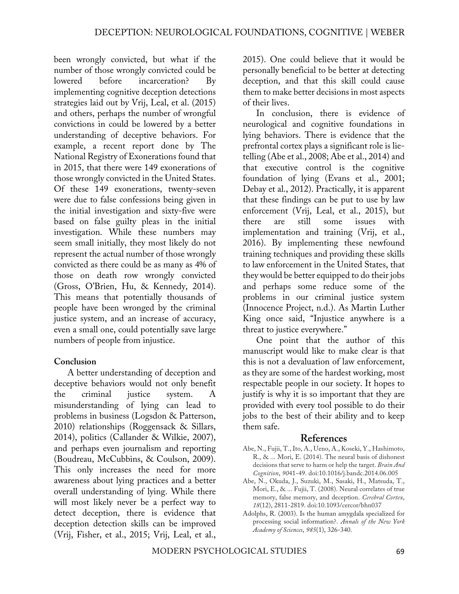been wrongly convicted, but what if the number of those wrongly convicted could be lowered before incarceration? By implementing cognitive deception detections strategies laid out by Vrij, Leal, et al. (2015) and others, perhaps the number of wrongful convictions in could be lowered by a better understanding of deceptive behaviors. For example, a recent report done by The National Registry of Exonerations found that in 2015, that there were 149 exonerations of those wrongly convicted in the United States. Of these 149 exonerations, twenty-seven were due to false confessions being given in the initial investigation and sixty-five were based on false guilty pleas in the initial investigation. While these numbers may seem small initially, they most likely do not represent the actual number of those wrongly convicted as there could be as many as 4% of those on death row wrongly convicted (Gross, O'Brien, Hu, & Kennedy, 2014). This means that potentially thousands of people have been wronged by the criminal justice system, and an increase of accuracy, even a small one, could potentially save large numbers of people from injustice.

#### **Conclusion**

A better understanding of deception and deceptive behaviors would not only benefit the criminal justice system. A misunderstanding of lying can lead to problems in business (Logsdon & Patterson, 2010) relationships (Roggensack & Sillars, 2014), politics (Callander & Wilkie, 2007), and perhaps even journalism and reporting (Boudreau, McCubbins, & Coulson, 2009). This only increases the need for more awareness about lying practices and a better overall understanding of lying. While there will most likely never be a perfect way to detect deception, there is evidence that deception detection skills can be improved (Vrij, Fisher, et al., 2015; Vrij, Leal, et al.,

2015). One could believe that it would be personally beneficial to be better at detecting deception, and that this skill could cause them to make better decisions in most aspects of their lives.

In conclusion, there is evidence of neurological and cognitive foundations in lying behaviors. There is evidence that the prefrontal cortex plays a significant role is lietelling (Abe et al., 2008; Abe et al., 2014) and that executive control is the cognitive foundation of lying (Evans et al., 2001; Debay et al., 2012). Practically, it is apparent that these findings can be put to use by law enforcement (Vrij, Leal, et al., 2015), but there are still some issues with implementation and training (Vrij, et al., 2016). By implementing these newfound training techniques and providing these skills to law enforcement in the United States, that they would be better equipped to do their jobs and perhaps some reduce some of the problems in our criminal justice system (Innocence Project, n.d.). As Martin Luther King once said, "Injustice anywhere is a threat to justice everywhere."

One point that the author of this manuscript would like to make clear is that this is not a devaluation of law enforcement, as they are some of the hardest working, most respectable people in our society. It hopes to justify is why it is so important that they are provided with every tool possible to do their jobs to the best of their ability and to keep them safe.

#### **References**

- Abe, N., Fujii, T., Ito, A., Ueno, A., Koseki, Y., Hashimoto, R., & ... Mori, E. (2014). The neural basis of dishonest decisions that serve to harm or help the target. *Brain And Cognition*, *90*41-49. doi:10.1016/j.bandc.2014.06.005
- Abe, N., Okuda, J., Suzuki, M., Sasaki, H., Matsuda, T., Mori, E., & ... Fujii, T. (2008). Neural correlates of true memory, false memory, and deception. *Cerebral Cortex*, *18*(12), 2811-2819. doi:10.1093/cercor/bhn037
- Adolphs, R. (2003). Is the human amygdala specialized for processing social information?. *Annals of the New York Academy of Sciences*, *985*(1), 326-340.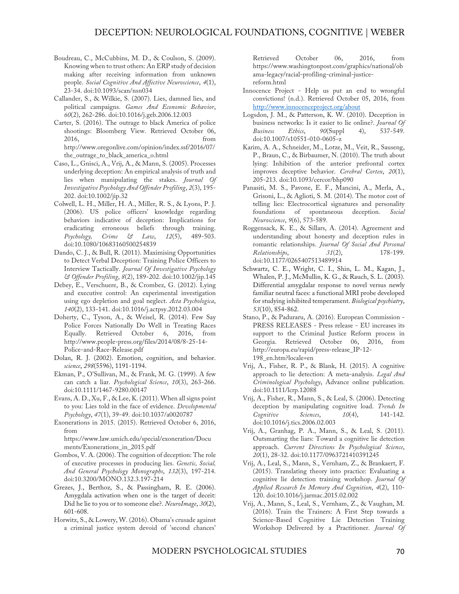- Boudreau, C., McCubbins, M. D., & Coulson, S. (2009). Knowing when to trust others: An ERP study of decision making after receiving information from unknown people. *Social Cognitive And Affective Neuroscience*, *4*(1), 23-34. doi:10.1093/scan/nsn034
- Callander, S., & Wilkie, S. (2007). Lies, damned lies, and political campaigns. *Games And Economic Behavior*, *60*(2), 262-286. doi:10.1016/j.geb.2006.12.003
- Carter, S. (2016). The outrage to black America of police shootings: Bloomberg View. Retrieved October 06, 2016, from http://www.oregonlive.com/opinion/index.ssf/2016/07/ the\_outrage\_to\_black\_america\_o.html
- Caso, L., Gnisci, A., Vrij, A., & Mann, S. (2005). Processes underlying deception: An empirical analysis of truth and lies when manipulating the stakes. *Journal Of Investigative Psychology And Offender Profiling*, *2*(3), 195- 202. doi:10.1002/jip.32
- Colwell, L. H., Miller, H. A., Miller, R. S., & Lyons, P. J. (2006). US police officers' knowledge regarding behaviors indicative of deception: Implications for eradicating erroneous beliefs through training. *Psychology, Crime & Law*, *12*(5), 489-503. doi:10.1080/10683160500254839
- Dando, C. J., & Bull, R. (2011). Maximising Opportunities to Detect Verbal Deception: Training Police Officers to Interview Tactically. *Journal Of Investigative Psychology & Offender Profiling*, *8*(2), 189-202. doi:10.1002/jip.145
- Debey, E., Verschuere, B., & Crombez, G. (2012). Lying and executive control: An experimental investigation using ego depletion and goal neglect. *Acta Psychologica*, *140*(2), 133-141. doi:10.1016/j.actpsy.2012.03.004
- Doherty, C., Tyson, A., & Weisel, R. (2014). Few Say Police Forces Nationally Do Well in Treating Races Equally. Retrieved October 6, 2016, from http://www.people-press.org/files/2014/08/8-25-14- Police-and-Race-Release.pdf
- Dolan, R. J. (2002). Emotion, cognition, and behavior. *science*, *298*(5596), 1191-1194.
- Ekman, P., O'Sullivan, M., & Frank, M. G. (1999). A few can catch a liar. *Psychological Science*, *10*(3), 263-266. doi:10.1111/1467-9280.00147
- Evans, A. D., Xu, F., & Lee, K. (2011). When all signs point to you: Lies told in the face of evidence. *Developmental Psychology*, *47*(1), 39-49. doi:10.1037/a0020787
- Exonerations in 2015. (2015). Retrieved October 6, 2016, from

https://www.law.umich.edu/special/exoneration/Docu ments/Exonerations\_in\_2015.pdf

- Gombos, V. A. (2006). The cognition of deception: The role of executive processes in producing lies. *Genetic, Social, And General Psychology Monographs*, *132*(3), 197-214. doi:10.3200/MONO.132.3.197-214
- Grezes, J., Berthoz, S., & Passingham, R. E. (2006). Amygdala activation when one is the target of deceit: Did he lie to you or to someone else?. *NeuroImage*, *30*(2), 601-608.
- Horwitz, S., & Lowery, W. (2016). Obama's crusade against a criminal justice system devoid of 'second chances'

Retrieved October 06, 2016, from https://www.washingtonpost.com/graphics/national/ob ama-legacy/racial-profiling-criminal-justicereform.html

- Innocence Project Help us put an end to wrongful convictions! (n.d.). Retrieved October 05, 2016, from http://www.innocenceproject.org/about
- Logsdon, J. M., & Patterson, K. W. (2010). Deception in business networks: Is it easier to lie online?. *Journal Of Business Ethics*, *90*(Suppl 4), 537-549. doi:10.1007/s10551-010-0605-z
- Karim, A. A., Schneider, M., Lotze, M., Veit, R., Sauseng, P., Braun, C., & Birbaumer, N. (2010). The truth about lying: Inhibition of the anterior prefrontal cortex improves deceptive behavior. *Cerebral Cortex*, *20*(1), 205-213. doi:10.1093/cercor/bhp090
- Panasiti, M. S., Pavone, E. F., Mancini, A., Merla, A., Grisoni, L., & Aglioti, S. M. (2014). The motor cost of telling lies: Electrocortical signatures and personality foundations of spontaneous deception. *Social Neuroscience*, *9*(6), 573-589.
- Roggensack, K. E., & Sillars, A. (2014). Agreement and understanding about honesty and deception rules in romantic relationships. *Journal Of Social And Personal Relationships*, *31*(2), 178-199. doi:10.1177/0265407513489914
- Schwartz, C. E., Wright, C. I., Shin, L. M., Kagan, J., Whalen, P. J., McMullin, K. G., & Rauch, S. L. (2003). Differential amygdalar response to novel versus newly familiar neutral faces: a functional MRI probe developed for studying inhibited temperament. *Biological psychiatry*, *53*(10), 854-862.
- Stano, P., & Paduraru, A. (2016). European Commission PRESS RELEASES - Press release - EU increases its support to the Criminal Justice Reform process in Georgia. Retrieved October 06, 2016, from http://europa.eu/rapid/press-release\_IP-12- 198\_en.htm?locale=en
- Vrij, A., Fisher, R. P., & Blank, H. (2015). A cognitive approach to lie detection: A meta-analysis. *Legal And Criminological Psychology*, Advance online publication. doi:10.1111/lcrp.12088
- Vrij, A., Fisher, R., Mann, S., & Leal, S. (2006). Detecting deception by manipulating cognitive load. *Trends In Cognitive Sciences*, *10*(4), 141-142. doi:10.1016/j.tics.2006.02.003
- Vrij, A., Granhag, P. A., Mann, S., & Leal, S. (2011). Outsmarting the liars: Toward a cognitive lie detection approach. *Current Directions In Psychological Science*, *20*(1), 28-32. doi:10.1177/0963721410391245
- Vrij, A., Leal, S., Mann, S., Vernham, Z., & Brankaert, F. (2015). Translating theory into practice: Evaluating a cognitive lie detection training workshop. *Journal Of Applied Research In Memory And Cognition*, *4*(2), 110- 120. doi:10.1016/j.jarmac.2015.02.002
- Vrij, A., Mann, S., Leal, S., Vernham, Z., & Vaughan, M. (2016). Train the Trainers: A First Step towards a Science-Based Cognitive Lie Detection Training Workshop Delivered by a Practitioner. *Journal Of*